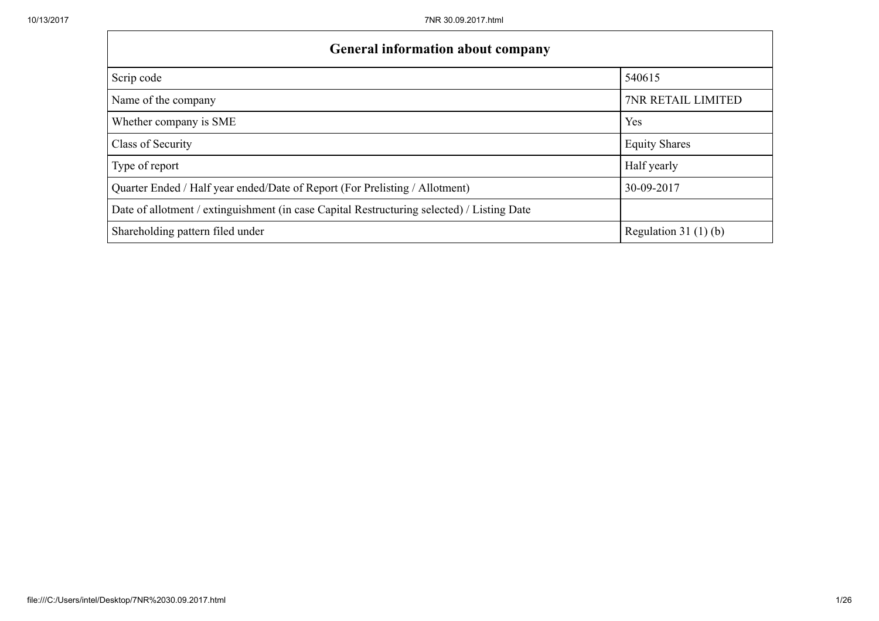| <b>General information about company</b>                                                   |                        |
|--------------------------------------------------------------------------------------------|------------------------|
| Scrip code                                                                                 | 540615                 |
| Name of the company                                                                        | 7NR RETAIL LIMITED     |
| Whether company is SME                                                                     | Yes                    |
| Class of Security                                                                          | <b>Equity Shares</b>   |
| Type of report                                                                             | Half yearly            |
| Quarter Ended / Half year ended/Date of Report (For Prelisting / Allotment)                | 30-09-2017             |
| Date of allotment / extinguishment (in case Capital Restructuring selected) / Listing Date |                        |
| Shareholding pattern filed under                                                           | Regulation 31 $(1)(b)$ |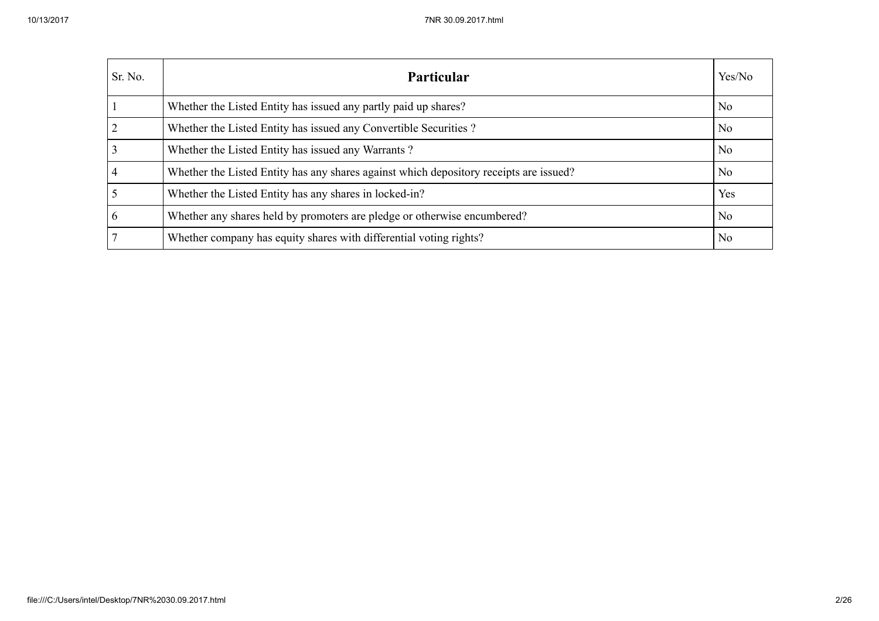| Sr. No. | <b>Particular</b>                                                                      | Yes/No         |
|---------|----------------------------------------------------------------------------------------|----------------|
|         | Whether the Listed Entity has issued any partly paid up shares?                        | N <sub>o</sub> |
|         | Whether the Listed Entity has issued any Convertible Securities?                       | N <sub>o</sub> |
|         | Whether the Listed Entity has issued any Warrants?                                     | No             |
|         | Whether the Listed Entity has any shares against which depository receipts are issued? | N <sub>o</sub> |
|         | Whether the Listed Entity has any shares in locked-in?                                 | Yes            |
|         | Whether any shares held by promoters are pledge or otherwise encumbered?               | N <sub>o</sub> |
|         | Whether company has equity shares with differential voting rights?                     | N <sub>0</sub> |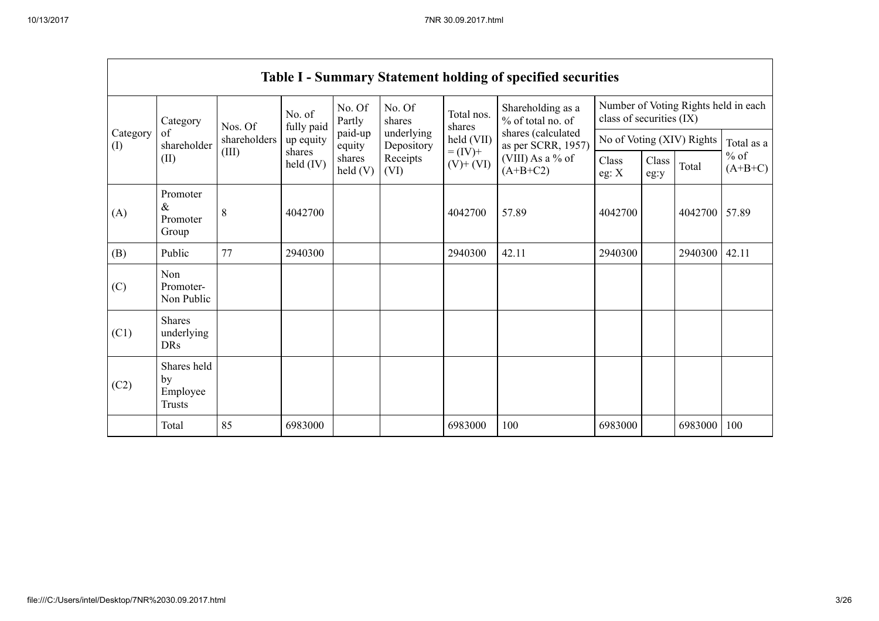|                 |                                                |                                                                                                                                                                                                                                                                                          |                      |                  |                           |                      | Table I - Summary Statement holding of specified securities |                                                                  |  |         |       |
|-----------------|------------------------------------------------|------------------------------------------------------------------------------------------------------------------------------------------------------------------------------------------------------------------------------------------------------------------------------------------|----------------------|------------------|---------------------------|----------------------|-------------------------------------------------------------|------------------------------------------------------------------|--|---------|-------|
|                 | Category                                       | Nos. Of                                                                                                                                                                                                                                                                                  | No. of<br>fully paid | No. Of<br>Partly | No. Of<br>shares          | Total nos.<br>shares | Shareholding as a<br>% of total no. of                      | Number of Voting Rights held in each<br>class of securities (IX) |  |         |       |
| Category<br>(I) | of<br>shareholder                              | shares (calculated<br>paid-up<br>underlying<br>held (VII)<br>shareholders<br>up equity<br>as per SCRR, 1957)<br>Depository<br>equity<br>$= (IV) +$<br>(III)<br>shares<br>(VIII) As a % of<br>shares<br>Receipts<br>held (IV)<br>$(V)$ + $(VI)$<br>$(A+B+C2)$<br>$\text{held}(V)$<br>(VI) |                      |                  | No of Voting (XIV) Rights | Total as a           |                                                             |                                                                  |  |         |       |
|                 | (II)                                           |                                                                                                                                                                                                                                                                                          |                      | Class<br>eg: $X$ | Class<br>eg:y             | Total                | $%$ of<br>$(A+B+C)$                                         |                                                                  |  |         |       |
| (A)             | Promoter<br>$\&$<br>Promoter<br>Group          | 8                                                                                                                                                                                                                                                                                        | 4042700              |                  |                           | 4042700              | 57.89                                                       | 4042700                                                          |  | 4042700 | 57.89 |
| (B)             | Public                                         | 77                                                                                                                                                                                                                                                                                       | 2940300              |                  |                           | 2940300              | 42.11                                                       | 2940300                                                          |  | 2940300 | 42.11 |
| (C)             | Non<br>Promoter-<br>Non Public                 |                                                                                                                                                                                                                                                                                          |                      |                  |                           |                      |                                                             |                                                                  |  |         |       |
| (C1)            | <b>Shares</b><br>underlying<br><b>DRs</b>      |                                                                                                                                                                                                                                                                                          |                      |                  |                           |                      |                                                             |                                                                  |  |         |       |
| (C2)            | Shares held<br>by<br>Employee<br><b>Trusts</b> |                                                                                                                                                                                                                                                                                          |                      |                  |                           |                      |                                                             |                                                                  |  |         |       |
|                 | Total                                          | 85                                                                                                                                                                                                                                                                                       | 6983000              |                  |                           | 6983000              | 100                                                         | 6983000                                                          |  | 6983000 | 100   |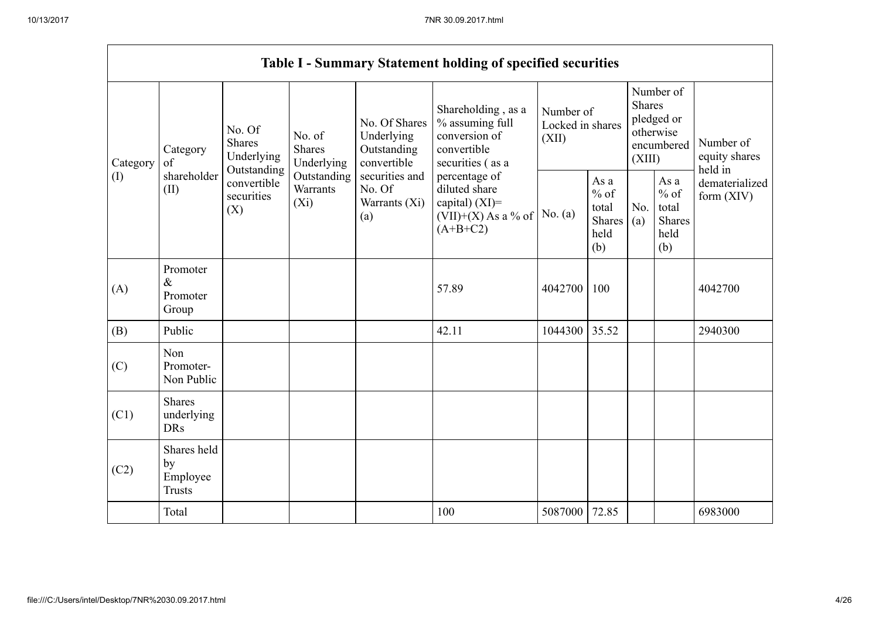|          |                                                |                                                      |                                       |                                                           | <b>Table I - Summary Statement holding of specified securities</b>                                      |                                        |                                                  |                         |                                                         |                                       |
|----------|------------------------------------------------|------------------------------------------------------|---------------------------------------|-----------------------------------------------------------|---------------------------------------------------------------------------------------------------------|----------------------------------------|--------------------------------------------------|-------------------------|---------------------------------------------------------|---------------------------------------|
| Category | Category<br>$\sigma$ f                         | No. Of<br><b>Shares</b><br>Underlying<br>Outstanding | No. of<br><b>Shares</b><br>Underlying | No. Of Shares<br>Underlying<br>Outstanding<br>convertible | Shareholding, as a<br>% assuming full<br>conversion of<br>convertible<br>securities (as a               | Number of<br>Locked in shares<br>(XII) |                                                  | <b>Shares</b><br>(XIII) | Number of<br>pledged or<br>otherwise<br>encumbered      | Number of<br>equity shares<br>held in |
| (I)      | shareholder<br>(II)                            | convertible<br>securities<br>(X)                     | Outstanding<br>Warrants<br>$(X_i)$    | securities and<br>No. Of<br>Warrants $(Xi)$<br>(a)        | percentage of<br>diluted share<br>capital) $(XI)$ =<br>No. $(a)$<br>$(VII)+(X)$ As a % of<br>$(A+B+C2)$ |                                        | As a<br>$%$ of<br>total<br>Shares<br>held<br>(b) | No.<br>(a)              | As a<br>$%$ of<br>total<br><b>Shares</b><br>held<br>(b) | dematerialized<br>form $(XIV)$        |
| (A)      | Promoter<br>$\&$<br>Promoter<br>Group          |                                                      |                                       |                                                           | 57.89                                                                                                   | 4042700                                | 100                                              |                         |                                                         | 4042700                               |
| (B)      | Public                                         |                                                      |                                       |                                                           | 42.11                                                                                                   | 1044300                                | 35.52                                            |                         |                                                         | 2940300                               |
| (C)      | Non<br>Promoter-<br>Non Public                 |                                                      |                                       |                                                           |                                                                                                         |                                        |                                                  |                         |                                                         |                                       |
| (C1)     | <b>Shares</b><br>underlying<br><b>DRs</b>      |                                                      |                                       |                                                           |                                                                                                         |                                        |                                                  |                         |                                                         |                                       |
| (C2)     | Shares held<br>by<br>Employee<br><b>Trusts</b> |                                                      |                                       |                                                           |                                                                                                         |                                        |                                                  |                         |                                                         |                                       |
|          | Total                                          |                                                      |                                       |                                                           | 100                                                                                                     | 5087000                                | 72.85                                            |                         |                                                         | 6983000                               |

 $\overline{\phantom{0}}$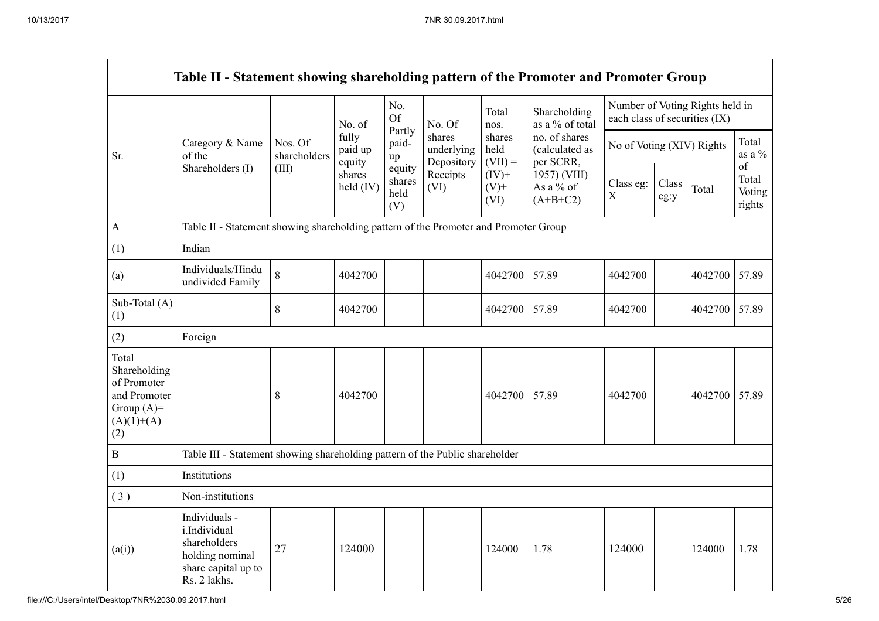|                                                                                             | Table II - Statement showing shareholding pattern of the Promoter and Promoter Group                    |                         |                            |                                 |                                    |                             |                                              |                               |               |                                 |                                 |
|---------------------------------------------------------------------------------------------|---------------------------------------------------------------------------------------------------------|-------------------------|----------------------------|---------------------------------|------------------------------------|-----------------------------|----------------------------------------------|-------------------------------|---------------|---------------------------------|---------------------------------|
|                                                                                             |                                                                                                         |                         | No. of                     | No.<br><b>Of</b>                | No. Of                             | Total<br>nos.               | Shareholding<br>as a % of total              | each class of securities (IX) |               | Number of Voting Rights held in |                                 |
| Sr.                                                                                         | Category & Name<br>of the                                                                               | Nos. Of<br>shareholders | fully<br>paid up<br>equity | Partly<br>paid-<br>up           | shares<br>underlying<br>Depository | shares<br>held<br>$(VII) =$ | no. of shares<br>(calculated as<br>per SCRR, | No of Voting (XIV) Rights     |               | Total<br>as a $\%$              |                                 |
|                                                                                             | Shareholders (I)                                                                                        | (III)                   | shares<br>held (IV)        | equity<br>shares<br>held<br>(V) | Receipts<br>(VI)                   | $(IV)+$<br>$(V)$ +<br>(VI)  | 1957) (VIII)<br>As a % of<br>$(A+B+C2)$      | Class eg:<br>X                | Class<br>eg:y | Total                           | of<br>Total<br>Voting<br>rights |
| $\mathbf A$                                                                                 | Table II - Statement showing shareholding pattern of the Promoter and Promoter Group                    |                         |                            |                                 |                                    |                             |                                              |                               |               |                                 |                                 |
| (1)                                                                                         | Indian                                                                                                  |                         |                            |                                 |                                    |                             |                                              |                               |               |                                 |                                 |
| (a)                                                                                         | Individuals/Hindu<br>undivided Family                                                                   | 8                       | 4042700                    |                                 |                                    | 4042700                     | 57.89                                        | 4042700                       |               | 4042700                         | 57.89                           |
| Sub-Total (A)<br>(1)                                                                        |                                                                                                         | 8                       | 4042700                    |                                 |                                    | 4042700                     | 57.89                                        | 4042700                       |               | 4042700                         | 57.89                           |
| (2)                                                                                         | Foreign                                                                                                 |                         |                            |                                 |                                    |                             |                                              |                               |               |                                 |                                 |
| Total<br>Shareholding<br>of Promoter<br>and Promoter<br>Group $(A)=$<br>$(A)(1)+(A)$<br>(2) |                                                                                                         | $8\,$                   | 4042700                    |                                 |                                    | 4042700                     | 57.89                                        | 4042700                       |               | 4042700 57.89                   |                                 |
| $\, {\bf B}$                                                                                | Table III - Statement showing shareholding pattern of the Public shareholder                            |                         |                            |                                 |                                    |                             |                                              |                               |               |                                 |                                 |
| (1)                                                                                         | Institutions                                                                                            |                         |                            |                                 |                                    |                             |                                              |                               |               |                                 |                                 |
| (3)                                                                                         | Non-institutions                                                                                        |                         |                            |                                 |                                    |                             |                                              |                               |               |                                 |                                 |
| (a(i))                                                                                      | Individuals -<br>i.Individual<br>shareholders<br>holding nominal<br>share capital up to<br>Rs. 2 lakhs. | 27                      | 124000                     |                                 |                                    | 124000                      | 1.78                                         | 124000                        |               | 124000                          | 1.78                            |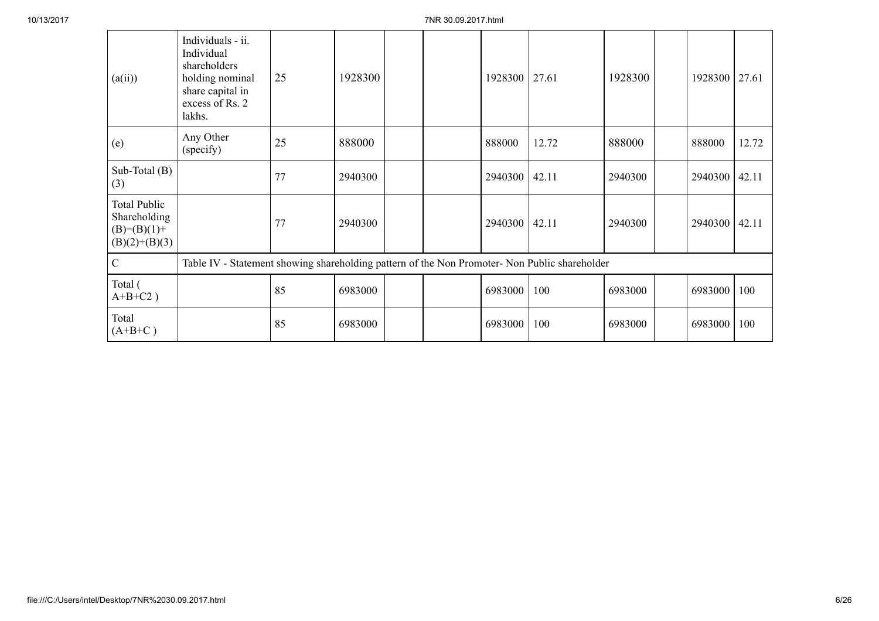| (a(ii))                                                                   | Individuals - ii.<br>Individual<br>shareholders<br>holding nominal<br>share capital in<br>excess of Rs. 2<br>lakhs. | 25 | 1928300 |  | 1928300 | 27.61 | 1928300 | 1928300       | 27.61 |
|---------------------------------------------------------------------------|---------------------------------------------------------------------------------------------------------------------|----|---------|--|---------|-------|---------|---------------|-------|
| (e)                                                                       | Any Other<br>(specify)                                                                                              | 25 | 888000  |  | 888000  | 12.72 | 888000  | 888000        | 12.72 |
| Sub-Total (B)<br>(3)                                                      |                                                                                                                     | 77 | 2940300 |  | 2940300 | 42.11 | 2940300 | 2940300 42.11 |       |
| <b>Total Public</b><br>Shareholding<br>$(B)= (B)(1) +$<br>$(B)(2)+(B)(3)$ |                                                                                                                     | 77 | 2940300 |  | 2940300 | 42.11 | 2940300 | 2940300       | 42.11 |
| $\mathbf C$                                                               | Table IV - Statement showing shareholding pattern of the Non Promoter- Non Public shareholder                       |    |         |  |         |       |         |               |       |
| Total (<br>$A+B+C2$ )                                                     |                                                                                                                     | 85 | 6983000 |  | 6983000 | 100   | 6983000 | 6983000 100   |       |
| Total<br>$(A+B+C)$                                                        |                                                                                                                     | 85 | 6983000 |  | 6983000 | 100   | 6983000 | 6983000       | 100   |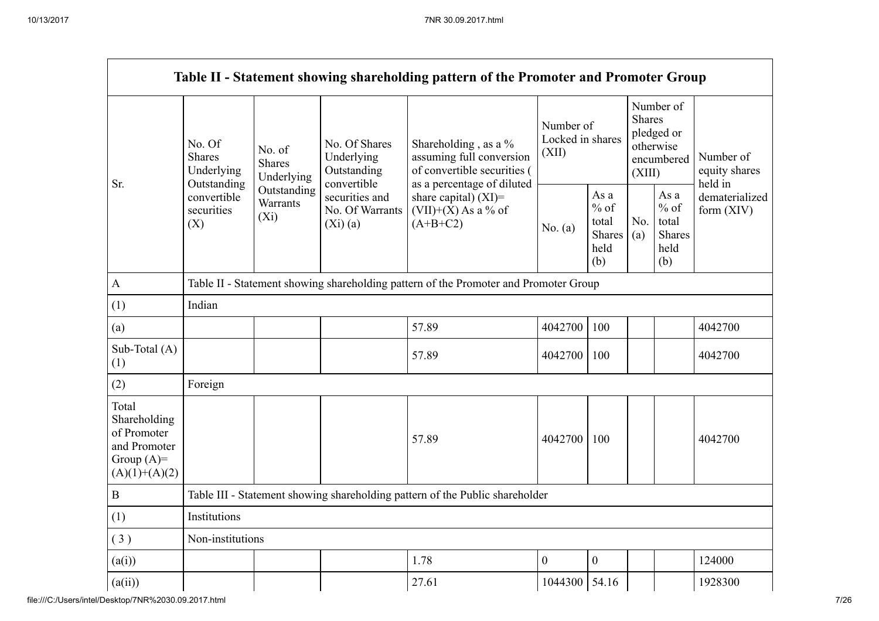|                                                                                         |                                                      |                                       |                                                           | Table II - Statement showing shareholding pattern of the Promoter and Promoter Group                          |                                        |                                                         |                         |                                                         |                                       |
|-----------------------------------------------------------------------------------------|------------------------------------------------------|---------------------------------------|-----------------------------------------------------------|---------------------------------------------------------------------------------------------------------------|----------------------------------------|---------------------------------------------------------|-------------------------|---------------------------------------------------------|---------------------------------------|
|                                                                                         | No. Of<br><b>Shares</b><br>Underlying<br>Outstanding | No. of<br><b>Shares</b><br>Underlying | No. Of Shares<br>Underlying<br>Outstanding<br>convertible | Shareholding, as a %<br>assuming full conversion<br>of convertible securities (<br>as a percentage of diluted | Number of<br>Locked in shares<br>(XII) |                                                         | <b>Shares</b><br>(XIII) | Number of<br>pledged or<br>otherwise<br>encumbered      | Number of<br>equity shares<br>held in |
| Sr.                                                                                     | convertible<br>securities<br>(X)                     | Outstanding<br>Warrants<br>$(X_i)$    | securities and<br>No. Of Warrants<br>(Xi)(a)              | share capital) $(XI)$ =<br>$(VII)+(X)$ As a % of<br>$(A+B+C2)$                                                | No. $(a)$                              | As a<br>$%$ of<br>total<br><b>Shares</b><br>held<br>(b) | No.<br>(a)              | As a<br>$%$ of<br>total<br><b>Shares</b><br>held<br>(b) | dematerialized<br>form $(XIV)$        |
| $\mathbf{A}$                                                                            |                                                      |                                       |                                                           | Table II - Statement showing shareholding pattern of the Promoter and Promoter Group                          |                                        |                                                         |                         |                                                         |                                       |
| (1)                                                                                     | Indian                                               |                                       |                                                           |                                                                                                               |                                        |                                                         |                         |                                                         |                                       |
| (a)                                                                                     |                                                      |                                       |                                                           | 57.89                                                                                                         | 4042700                                | 100                                                     |                         |                                                         | 4042700                               |
| Sub-Total (A)<br>(1)                                                                    |                                                      |                                       |                                                           | 57.89                                                                                                         | 4042700                                | 100                                                     |                         |                                                         | 4042700                               |
| (2)                                                                                     | Foreign                                              |                                       |                                                           |                                                                                                               |                                        |                                                         |                         |                                                         |                                       |
| Total<br>Shareholding<br>of Promoter<br>and Promoter<br>Group $(A)=$<br>$(A)(1)+(A)(2)$ |                                                      |                                       |                                                           | 57.89                                                                                                         | 4042700                                | 100                                                     |                         |                                                         | 4042700                               |
| $\, {\bf B}$                                                                            |                                                      |                                       |                                                           | Table III - Statement showing shareholding pattern of the Public shareholder                                  |                                        |                                                         |                         |                                                         |                                       |
| (1)                                                                                     | Institutions                                         |                                       |                                                           |                                                                                                               |                                        |                                                         |                         |                                                         |                                       |
| (3)                                                                                     | Non-institutions                                     |                                       |                                                           |                                                                                                               |                                        |                                                         |                         |                                                         |                                       |
| (a(i))                                                                                  |                                                      |                                       |                                                           | 1.78                                                                                                          | $\mathbf{0}$                           | $\boldsymbol{0}$                                        |                         |                                                         | 124000                                |
| (a(ii))                                                                                 |                                                      |                                       |                                                           | 27.61                                                                                                         | 1044300 54.16                          |                                                         |                         |                                                         | 1928300                               |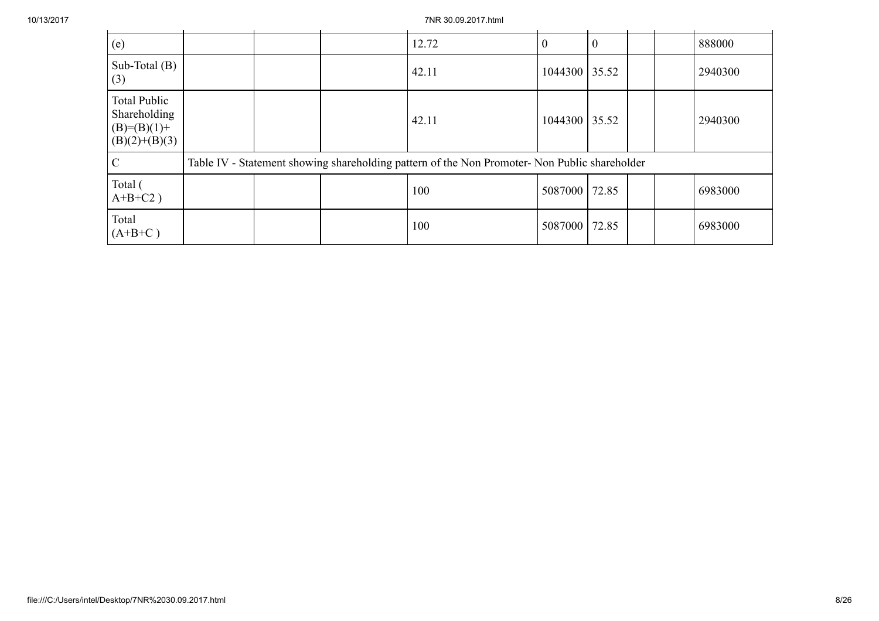10/13/2017 7NR 30.09.2017.html

| (e)                                                                     |  | 12.72                                                                                         |               |       |  | 888000  |
|-------------------------------------------------------------------------|--|-----------------------------------------------------------------------------------------------|---------------|-------|--|---------|
| Sub-Total $(B)$<br>(3)                                                  |  | 42.11                                                                                         | 1044300 35.52 |       |  | 2940300 |
| <b>Total Public</b><br>Shareholding<br>$(B)=(B)(1)+$<br>$(B)(2)+(B)(3)$ |  | 42.11                                                                                         | 1044300 35.52 |       |  | 2940300 |
| $\mathcal{C}$                                                           |  | Table IV - Statement showing shareholding pattern of the Non Promoter- Non Public shareholder |               |       |  |         |
| Total (<br>$A+B+C2$ )                                                   |  | 100                                                                                           | 5087000 72.85 |       |  | 6983000 |
| Total<br>$(A+B+C)$                                                      |  | 100                                                                                           | 5087000       | 72.85 |  | 6983000 |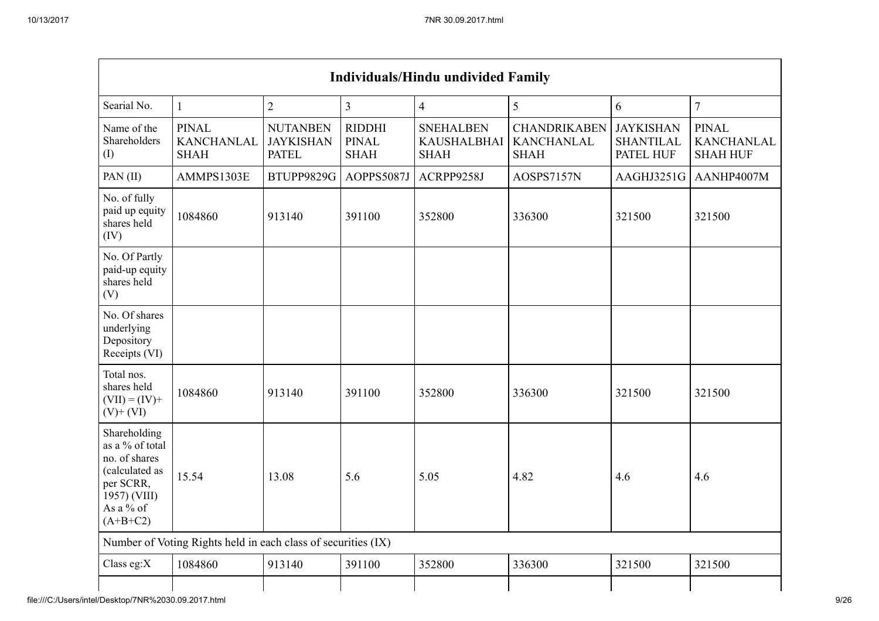|                                                                                                                            | <b>Individuals/Hindu undivided Family</b>                     |                                                     |                                              |                                                       |                                                         |                                                   |                                                      |  |
|----------------------------------------------------------------------------------------------------------------------------|---------------------------------------------------------------|-----------------------------------------------------|----------------------------------------------|-------------------------------------------------------|---------------------------------------------------------|---------------------------------------------------|------------------------------------------------------|--|
| Searial No.                                                                                                                | $\mathbf{1}$                                                  | $\overline{2}$                                      | $\overline{3}$                               | $\overline{4}$                                        | 5                                                       | 6                                                 | $\overline{7}$                                       |  |
| Name of the<br>Shareholders<br>$\rm (I)$                                                                                   | <b>PINAL</b><br><b>KANCHANLAL</b><br><b>SHAH</b>              | <b>NUTANBEN</b><br><b>JAYKISHAN</b><br><b>PATEL</b> | <b>RIDDHI</b><br><b>PINAL</b><br><b>SHAH</b> | <b>SNEHALBEN</b><br><b>KAUSHALBHAI</b><br><b>SHAH</b> | <b>CHANDRIKABEN</b><br><b>KANCHANLAL</b><br><b>SHAH</b> | <b>JAYKISHAN</b><br><b>SHANTILAL</b><br>PATEL HUF | <b>PINAL</b><br><b>KANCHANLAL</b><br><b>SHAH HUF</b> |  |
| PAN(II)                                                                                                                    | AMMPS1303E                                                    | BTUPP9829G                                          | AOPPS5087J                                   | ACRPP9258J                                            | AOSPS7157N                                              | AAGHJ3251G                                        | AANHP4007M                                           |  |
| No. of fully<br>paid up equity<br>shares held<br>(IV)                                                                      | 1084860                                                       | 913140                                              | 391100                                       | 352800                                                | 336300                                                  | 321500                                            | 321500                                               |  |
| No. Of Partly<br>paid-up equity<br>shares held<br>(V)                                                                      |                                                               |                                                     |                                              |                                                       |                                                         |                                                   |                                                      |  |
| No. Of shares<br>underlying<br>Depository<br>Receipts (VI)                                                                 |                                                               |                                                     |                                              |                                                       |                                                         |                                                   |                                                      |  |
| Total nos.<br>shares held<br>$(VII) = (IV) +$<br>$(V)+(VI)$                                                                | 1084860                                                       | 913140                                              | 391100                                       | 352800                                                | 336300                                                  | 321500                                            | 321500                                               |  |
| Shareholding<br>as a % of total<br>no. of shares<br>(calculated as<br>per SCRR,<br>1957) (VIII)<br>As a % of<br>$(A+B+C2)$ | 15.54                                                         | 13.08                                               | 5.6                                          | 5.05                                                  | 4.82                                                    | 4.6                                               | 4.6                                                  |  |
|                                                                                                                            | Number of Voting Rights held in each class of securities (IX) |                                                     |                                              |                                                       |                                                         |                                                   |                                                      |  |
| Class eg: $X$                                                                                                              | 1084860                                                       | 913140                                              | 391100                                       | 352800                                                | 336300                                                  | 321500                                            | 321500                                               |  |
|                                                                                                                            |                                                               |                                                     |                                              |                                                       |                                                         |                                                   |                                                      |  |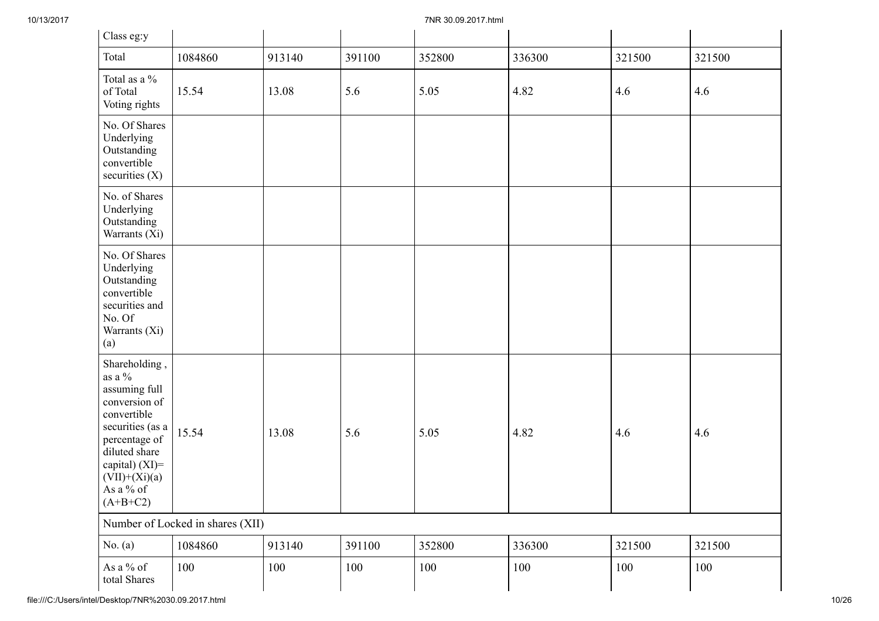| Class eg:y                                                                                                                                                                                           |                                  |         |         |        |         |        |         |
|------------------------------------------------------------------------------------------------------------------------------------------------------------------------------------------------------|----------------------------------|---------|---------|--------|---------|--------|---------|
| Total                                                                                                                                                                                                | 1084860                          | 913140  | 391100  | 352800 | 336300  | 321500 | 321500  |
| Total as a %<br>of Total<br>Voting rights                                                                                                                                                            | 15.54                            | 13.08   | 5.6     | 5.05   | 4.82    | 4.6    | 4.6     |
| No. Of Shares<br>Underlying<br>Outstanding<br>convertible<br>securities $(X)$                                                                                                                        |                                  |         |         |        |         |        |         |
| No. of Shares<br>Underlying<br>Outstanding<br>Warrants (Xi)                                                                                                                                          |                                  |         |         |        |         |        |         |
| No. Of Shares<br>Underlying<br>Outstanding<br>convertible<br>securities and<br>No. Of<br>Warrants (Xi)<br>(a)                                                                                        |                                  |         |         |        |         |        |         |
| Shareholding,<br>as a $\%$<br>assuming full<br>conversion of<br>convertible<br>securities (as a<br>percentage of<br>diluted share<br>capital) $(XI)$ =<br>$(VII)+(Xi)(a)$<br>As a % of<br>$(A+B+C2)$ | 15.54                            | 13.08   | 5.6     | 5.05   | 4.82    | 4.6    | 4.6     |
|                                                                                                                                                                                                      | Number of Locked in shares (XII) |         |         |        |         |        |         |
| No. $(a)$                                                                                                                                                                                            | 1084860                          | 913140  | 391100  | 352800 | 336300  | 321500 | 321500  |
| As a $\%$ of<br>total Shares                                                                                                                                                                         | 100                              | $100\,$ | $100\,$ | 100    | $100\,$ | 100    | $100\,$ |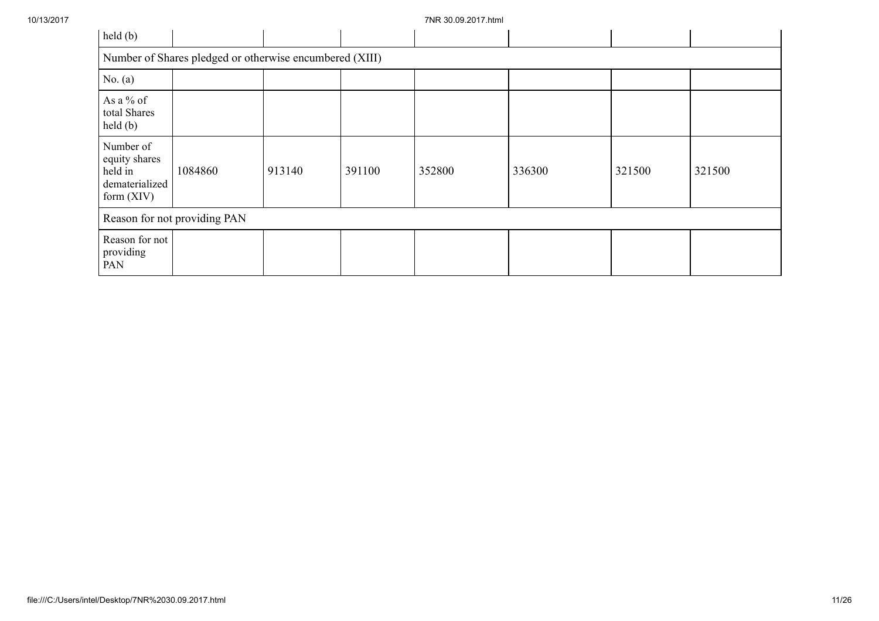| held(b)                                                                 |                                                         |        |        |        |        |        |        |  |  |
|-------------------------------------------------------------------------|---------------------------------------------------------|--------|--------|--------|--------|--------|--------|--|--|
|                                                                         | Number of Shares pledged or otherwise encumbered (XIII) |        |        |        |        |        |        |  |  |
| No. $(a)$                                                               |                                                         |        |        |        |        |        |        |  |  |
| As a % of<br>total Shares<br>$\text{held}(\text{b})$                    |                                                         |        |        |        |        |        |        |  |  |
| Number of<br>equity shares<br>held in<br>dematerialized<br>form $(XIV)$ | 1084860                                                 | 913140 | 391100 | 352800 | 336300 | 321500 | 321500 |  |  |
|                                                                         | Reason for not providing PAN                            |        |        |        |        |        |        |  |  |
| Reason for not<br>providing<br>PAN                                      |                                                         |        |        |        |        |        |        |  |  |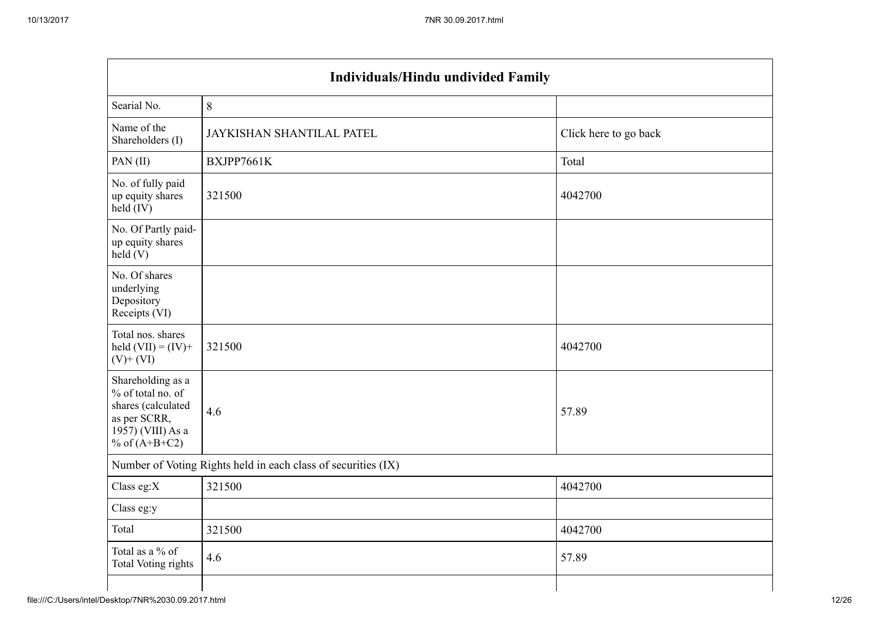|                                                                                                                      | <b>Individuals/Hindu undivided Family</b>                     |                       |  |  |  |  |  |  |  |
|----------------------------------------------------------------------------------------------------------------------|---------------------------------------------------------------|-----------------------|--|--|--|--|--|--|--|
| Searial No.                                                                                                          | 8                                                             |                       |  |  |  |  |  |  |  |
| Name of the<br>Shareholders (I)                                                                                      | JAYKISHAN SHANTILAL PATEL                                     | Click here to go back |  |  |  |  |  |  |  |
| PAN(II)                                                                                                              | BXJPP7661K                                                    | Total                 |  |  |  |  |  |  |  |
| No. of fully paid<br>up equity shares<br>held (IV)                                                                   | 321500                                                        | 4042700               |  |  |  |  |  |  |  |
| No. Of Partly paid-<br>up equity shares<br>$\text{held}(V)$                                                          |                                                               |                       |  |  |  |  |  |  |  |
| No. Of shares<br>underlying<br>Depository<br>Receipts (VI)                                                           |                                                               |                       |  |  |  |  |  |  |  |
| Total nos. shares<br>held $(VII) = (IV) +$<br>$(V)$ + $(VI)$                                                         | 321500                                                        | 4042700               |  |  |  |  |  |  |  |
| Shareholding as a<br>% of total no. of<br>shares (calculated<br>as per SCRR,<br>1957) (VIII) As a<br>% of $(A+B+C2)$ | 4.6                                                           | 57.89                 |  |  |  |  |  |  |  |
|                                                                                                                      | Number of Voting Rights held in each class of securities (IX) |                       |  |  |  |  |  |  |  |
| Class eg:X                                                                                                           | 321500                                                        | 4042700               |  |  |  |  |  |  |  |
| Class eg:y                                                                                                           |                                                               |                       |  |  |  |  |  |  |  |
| Total                                                                                                                | 321500                                                        | 4042700               |  |  |  |  |  |  |  |
| Total as a % of<br><b>Total Voting rights</b>                                                                        | 4.6                                                           | 57.89                 |  |  |  |  |  |  |  |
|                                                                                                                      |                                                               |                       |  |  |  |  |  |  |  |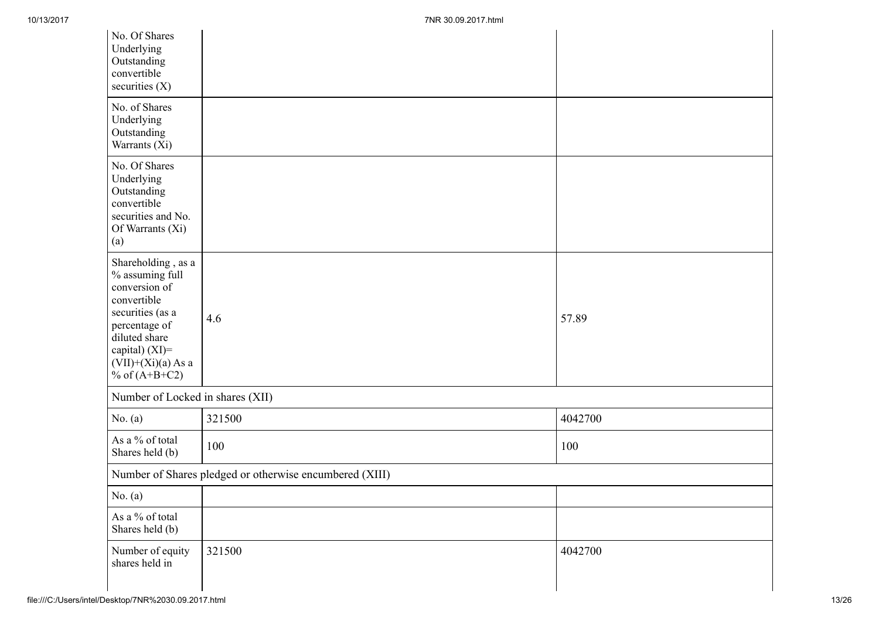| No. Of Shares<br>Underlying<br>Outstanding<br>convertible<br>securities $(X)$                                                                                                               |                                                         |         |
|---------------------------------------------------------------------------------------------------------------------------------------------------------------------------------------------|---------------------------------------------------------|---------|
| No. of Shares<br>Underlying<br>Outstanding<br>Warrants (Xi)                                                                                                                                 |                                                         |         |
| No. Of Shares<br>Underlying<br>Outstanding<br>convertible<br>securities and No.<br>Of Warrants (Xi)<br>(a)                                                                                  |                                                         |         |
| Shareholding, as a<br>$\%$ assuming full<br>conversion of<br>convertible<br>securities (as a<br>percentage of<br>diluted share<br>capital) (XI)=<br>$(VII)+(Xi)(a)$ As a<br>% of $(A+B+C2)$ | 4.6                                                     | 57.89   |
| Number of Locked in shares (XII)                                                                                                                                                            |                                                         |         |
| No. $(a)$                                                                                                                                                                                   | 321500                                                  | 4042700 |
| As a % of total<br>Shares held (b)                                                                                                                                                          | 100                                                     | 100     |
|                                                                                                                                                                                             | Number of Shares pledged or otherwise encumbered (XIII) |         |
| No. $(a)$                                                                                                                                                                                   |                                                         |         |
| As a % of total<br>Shares held (b)                                                                                                                                                          |                                                         |         |
| Number of equity<br>shares held in                                                                                                                                                          | 321500                                                  | 4042700 |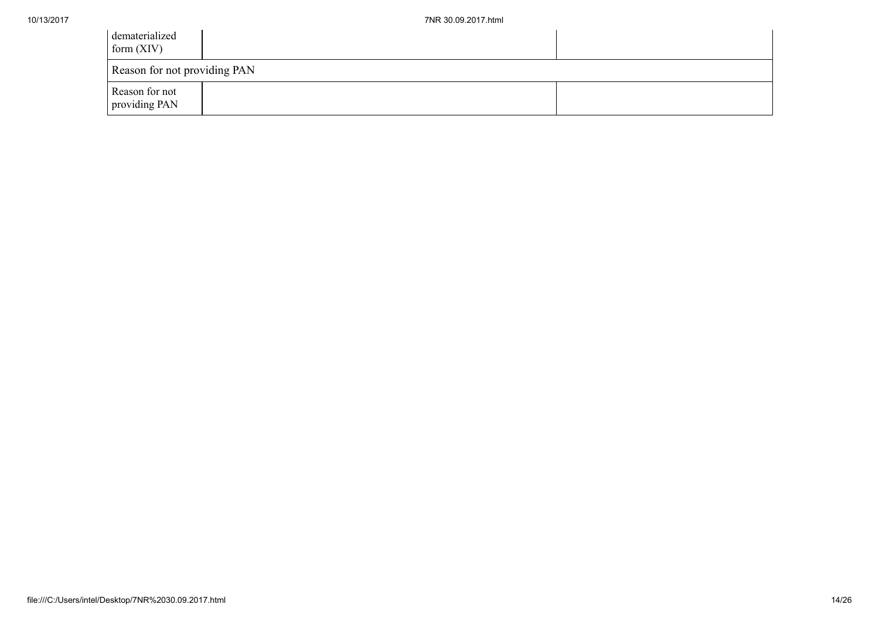| dematerialized<br>form $(XIV)$  |  |
|---------------------------------|--|
| Reason for not providing PAN    |  |
| Reason for not<br>providing PAN |  |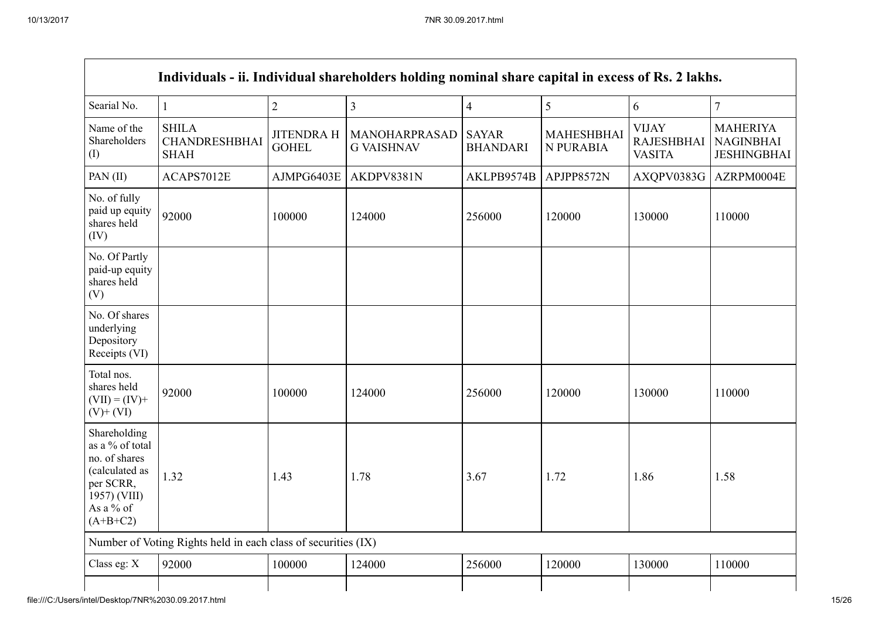|                                                                                                                            | Individuals - ii. Individual shareholders holding nominal share capital in excess of Rs. 2 lakhs. |                                   |                                    |                                 |                                |                                                    |                                                           |
|----------------------------------------------------------------------------------------------------------------------------|---------------------------------------------------------------------------------------------------|-----------------------------------|------------------------------------|---------------------------------|--------------------------------|----------------------------------------------------|-----------------------------------------------------------|
| Searial No.                                                                                                                | $\mathbf{1}$                                                                                      | $\overline{2}$                    | 3                                  | $\overline{4}$                  | 5                              | 6                                                  | $\overline{7}$                                            |
| Name of the<br>Shareholders<br>(I)                                                                                         | <b>SHILA</b><br><b>CHANDRESHBHAI</b><br><b>SHAH</b>                                               | <b>JITENDRA H</b><br><b>GOHEL</b> | MANOHARPRASAD<br><b>G VAISHNAV</b> | <b>SAYAR</b><br><b>BHANDARI</b> | <b>MAHESHBHAI</b><br>N PURABIA | <b>VIJAY</b><br><b>RAJESHBHAI</b><br><b>VASITA</b> | <b>MAHERIYA</b><br><b>NAGINBHAI</b><br><b>JESHINGBHAI</b> |
| PAN(II)                                                                                                                    | ACAPS7012E                                                                                        | AJMPG6403E                        | AKDPV8381N                         | AKLPB9574B                      | APJPP8572N                     | AXQPV0383G                                         | AZRPM0004E                                                |
| No. of fully<br>paid up equity<br>shares held<br>(IV)                                                                      | 92000                                                                                             | 100000                            | 124000                             | 256000                          | 120000                         | 130000                                             | 110000                                                    |
| No. Of Partly<br>paid-up equity<br>shares held<br>(V)                                                                      |                                                                                                   |                                   |                                    |                                 |                                |                                                    |                                                           |
| No. Of shares<br>underlying<br>Depository<br>Receipts (VI)                                                                 |                                                                                                   |                                   |                                    |                                 |                                |                                                    |                                                           |
| Total nos.<br>shares held<br>$(VII) = (IV) +$<br>$(V)+(VI)$                                                                | 92000                                                                                             | 100000                            | 124000                             | 256000                          | 120000                         | 130000                                             | 110000                                                    |
| Shareholding<br>as a % of total<br>no. of shares<br>(calculated as<br>per SCRR,<br>1957) (VIII)<br>As a % of<br>$(A+B+C2)$ | 1.32                                                                                              | 1.43                              | 1.78                               | 3.67                            | 1.72                           | 1.86                                               | 1.58                                                      |
|                                                                                                                            | Number of Voting Rights held in each class of securities (IX)                                     |                                   |                                    |                                 |                                |                                                    |                                                           |
| Class eg: X                                                                                                                | 92000                                                                                             | 100000                            | 124000                             | 256000                          | 120000                         | 130000                                             | 110000                                                    |
|                                                                                                                            |                                                                                                   |                                   |                                    |                                 |                                |                                                    |                                                           |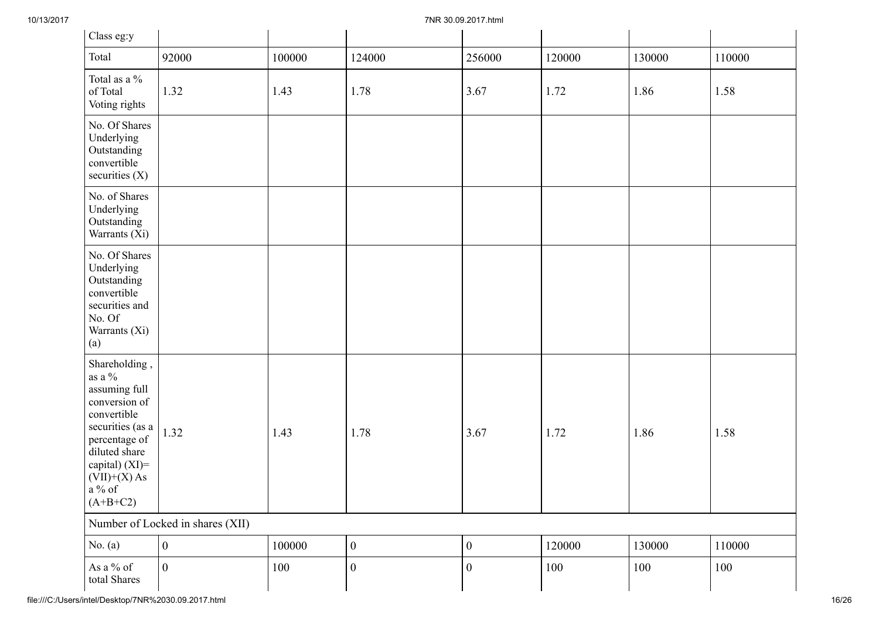| Class eg:y                                                                                                                                                                                       |                                  |        |                  |                  |        |        |        |
|--------------------------------------------------------------------------------------------------------------------------------------------------------------------------------------------------|----------------------------------|--------|------------------|------------------|--------|--------|--------|
| Total                                                                                                                                                                                            | 92000                            | 100000 | 124000           | 256000           | 120000 | 130000 | 110000 |
| Total as a $\%$<br>of Total<br>Voting rights                                                                                                                                                     | 1.32                             | 1.43   | 1.78             | 3.67             | 1.72   | 1.86   | 1.58   |
| No. Of Shares<br>Underlying<br>Outstanding<br>convertible<br>securities $(X)$                                                                                                                    |                                  |        |                  |                  |        |        |        |
| No. of Shares<br>Underlying<br>Outstanding<br>Warrants (Xi)                                                                                                                                      |                                  |        |                  |                  |        |        |        |
| No. Of Shares<br>Underlying<br>Outstanding<br>convertible<br>securities and<br>No. Of<br>Warrants (Xi)<br>(a)                                                                                    |                                  |        |                  |                  |        |        |        |
| Shareholding,<br>as a $\%$<br>assuming full<br>conversion of<br>convertible<br>securities (as a<br>percentage of<br>diluted share<br>capital) (XI)=<br>$(VII)+(X)$ As<br>a $\%$ of<br>$(A+B+C2)$ | 1.32                             | 1.43   | 1.78             | 3.67             | 1.72   | 1.86   | 1.58   |
|                                                                                                                                                                                                  | Number of Locked in shares (XII) |        |                  |                  |        |        |        |
| No. $(a)$                                                                                                                                                                                        | $\mathbf{0}$                     | 100000 | $\boldsymbol{0}$ | $\boldsymbol{0}$ | 120000 | 130000 | 110000 |
| As a $\%$ of<br>total Shares                                                                                                                                                                     | $\mathbf{0}$                     | 100    | $\boldsymbol{0}$ | $\boldsymbol{0}$ | 100    | 100    | 100    |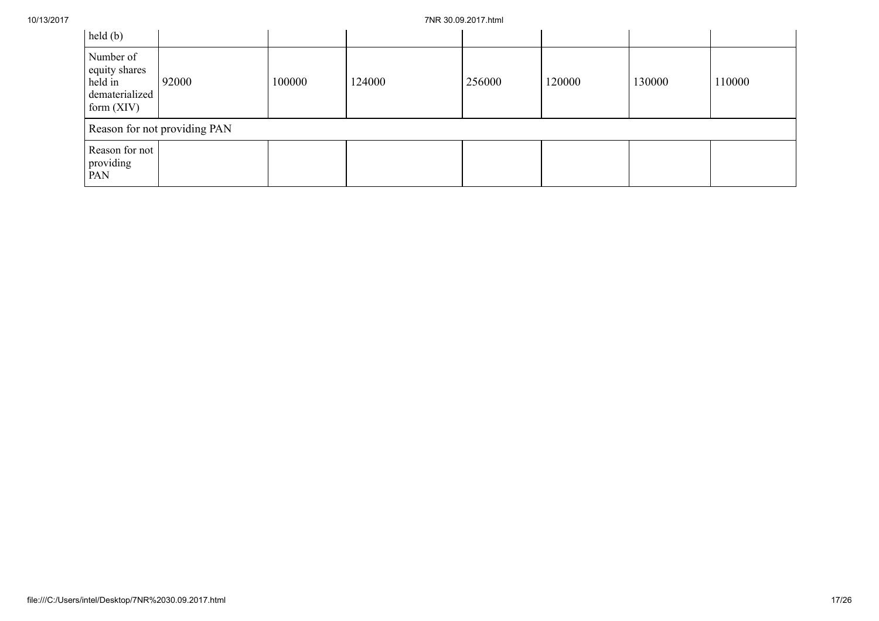| held(b)                                                                 |                              |        |        |        |        |        |        |
|-------------------------------------------------------------------------|------------------------------|--------|--------|--------|--------|--------|--------|
| Number of<br>equity shares<br>held in<br>dematerialized<br>form $(XIV)$ | 92000                        | 100000 | 124000 | 256000 | 120000 | 130000 | 110000 |
|                                                                         | Reason for not providing PAN |        |        |        |        |        |        |
| Reason for not<br>providing<br>PAN                                      |                              |        |        |        |        |        |        |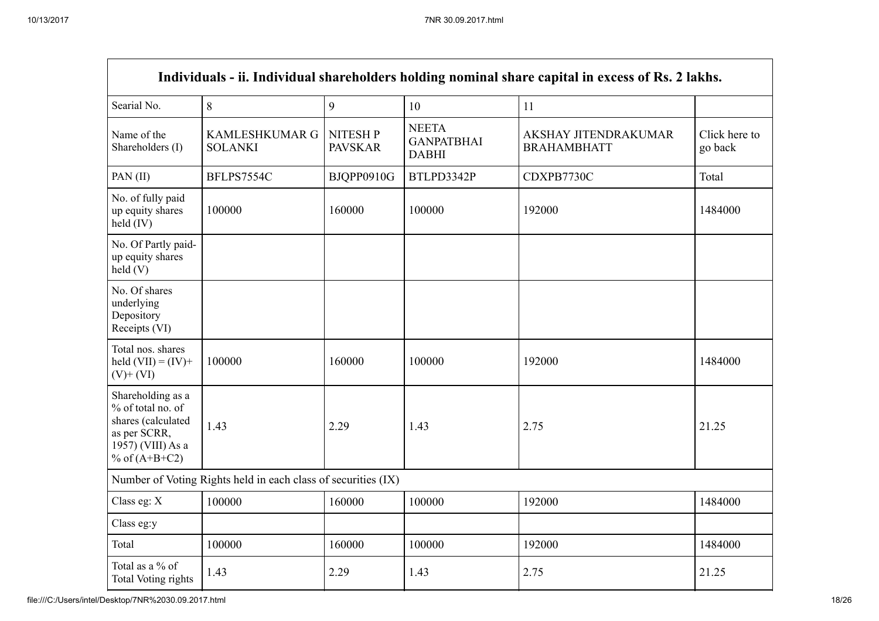| Individuals - ii. Individual shareholders holding nominal share capital in excess of Rs. 2 lakhs.                    |                                                               |                                  |                                                   |                                            |                          |  |  |
|----------------------------------------------------------------------------------------------------------------------|---------------------------------------------------------------|----------------------------------|---------------------------------------------------|--------------------------------------------|--------------------------|--|--|
| Searial No.                                                                                                          | $8\,$                                                         | 9                                | 10                                                | 11                                         |                          |  |  |
| Name of the<br>Shareholders (I)                                                                                      | <b>KAMLESHKUMAR G</b><br><b>SOLANKI</b>                       | <b>NITESHP</b><br><b>PAVSKAR</b> | <b>NEETA</b><br><b>GANPATBHAI</b><br><b>DABHI</b> | AKSHAY JITENDRAKUMAR<br><b>BRAHAMBHATT</b> | Click here to<br>go back |  |  |
| PAN(II)                                                                                                              | BFLPS7554C                                                    | BJQPP0910G                       | BTLPD3342P                                        | CDXPB7730C                                 | Total                    |  |  |
| No. of fully paid<br>up equity shares<br>held (IV)                                                                   | 100000                                                        | 160000                           | 100000                                            | 192000                                     | 1484000                  |  |  |
| No. Of Partly paid-<br>up equity shares<br>held(V)                                                                   |                                                               |                                  |                                                   |                                            |                          |  |  |
| No. Of shares<br>underlying<br>Depository<br>Receipts (VI)                                                           |                                                               |                                  |                                                   |                                            |                          |  |  |
| Total nos. shares<br>held $(VII) = (IV) +$<br>$(V)+(VI)$                                                             | 100000                                                        | 160000                           | 100000                                            | 192000                                     | 1484000                  |  |  |
| Shareholding as a<br>% of total no. of<br>shares (calculated<br>as per SCRR,<br>1957) (VIII) As a<br>% of $(A+B+C2)$ | 1.43                                                          | 2.29                             | 1.43                                              | 2.75                                       | 21.25                    |  |  |
|                                                                                                                      | Number of Voting Rights held in each class of securities (IX) |                                  |                                                   |                                            |                          |  |  |
| Class eg: X                                                                                                          | 100000                                                        | 160000                           | 100000                                            | 192000                                     | 1484000                  |  |  |
| Class eg:y                                                                                                           |                                                               |                                  |                                                   |                                            |                          |  |  |
| Total                                                                                                                | 100000                                                        | 160000                           | 100000                                            | 192000                                     | 1484000                  |  |  |
| Total as a % of<br>Total Voting rights                                                                               | 1.43                                                          | 2.29                             | 1.43                                              | 2.75                                       | 21.25                    |  |  |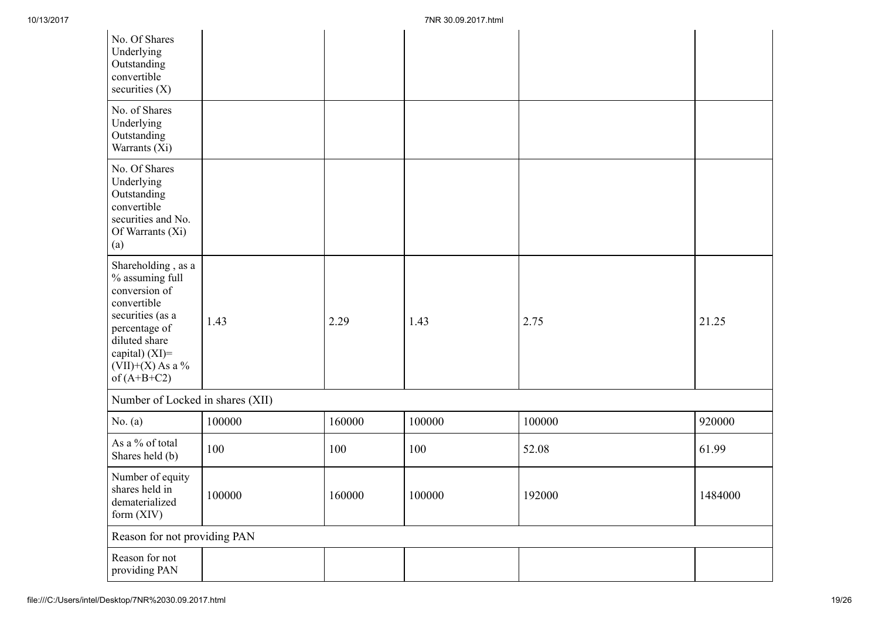| No. Of Shares<br>Underlying<br>Outstanding<br>convertible<br>securities $(X)$                                                                                                          |        |        |        |        |         |
|----------------------------------------------------------------------------------------------------------------------------------------------------------------------------------------|--------|--------|--------|--------|---------|
| No. of Shares<br>Underlying<br>Outstanding<br>Warrants (Xi)                                                                                                                            |        |        |        |        |         |
| No. Of Shares<br>Underlying<br>Outstanding<br>convertible<br>securities and No.<br>Of Warrants (Xi)<br>(a)                                                                             |        |        |        |        |         |
| Shareholding, as a<br>% assuming full<br>conversion of<br>convertible<br>securities (as a<br>percentage of<br>diluted share<br>capital) $(XI)=$<br>$(VII)+(X)$ As a %<br>of $(A+B+C2)$ | 1.43   | 2.29   | 1.43   | 2.75   | 21.25   |
| Number of Locked in shares (XII)                                                                                                                                                       |        |        |        |        |         |
| No. $(a)$                                                                                                                                                                              | 100000 | 160000 | 100000 | 100000 | 920000  |
| As a % of total<br>Shares held (b)                                                                                                                                                     | 100    | 100    | 100    | 52.08  | 61.99   |
| Number of equity<br>shares held in<br>dematerialized<br>form (XIV)                                                                                                                     | 100000 | 160000 | 100000 | 192000 | 1484000 |
| Reason for not providing PAN                                                                                                                                                           |        |        |        |        |         |
| Reason for not<br>providing PAN                                                                                                                                                        |        |        |        |        |         |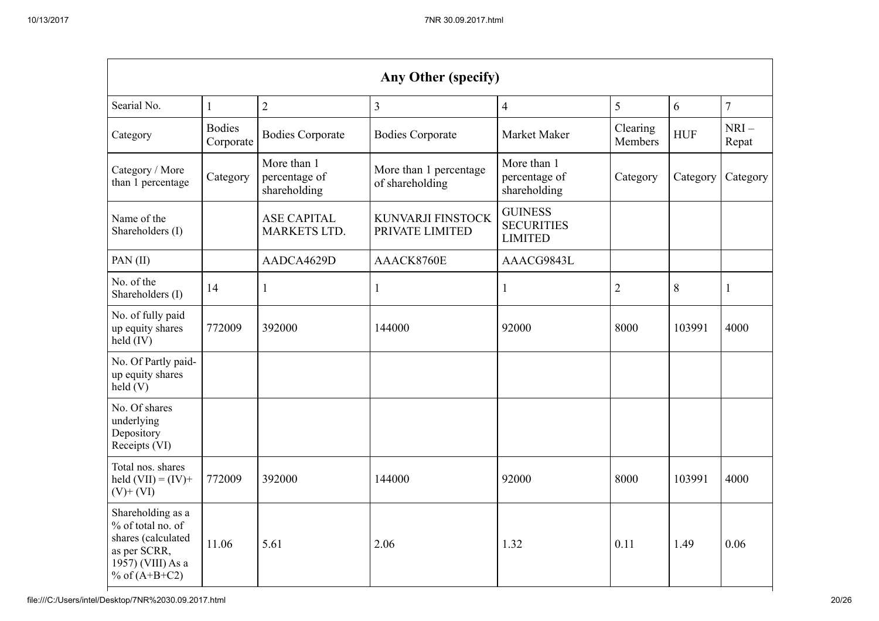|                                                                                                                      |                            |                                              | Any Other (specify)                       |                                                       |                     |            |                 |
|----------------------------------------------------------------------------------------------------------------------|----------------------------|----------------------------------------------|-------------------------------------------|-------------------------------------------------------|---------------------|------------|-----------------|
| Searial No.                                                                                                          | $\mathbf{1}$               | $\overline{2}$                               | $\overline{3}$                            | $\overline{4}$                                        | 5                   | 6          | $\overline{7}$  |
| Category                                                                                                             | <b>Bodies</b><br>Corporate | <b>Bodies Corporate</b>                      | <b>Bodies Corporate</b>                   | Market Maker                                          | Clearing<br>Members | <b>HUF</b> | $NRI-$<br>Repat |
| Category / More<br>than 1 percentage                                                                                 | Category                   | More than 1<br>percentage of<br>shareholding | More than 1 percentage<br>of shareholding | More than 1<br>percentage of<br>shareholding          | Category            | Category   | Category        |
| Name of the<br>Shareholders (I)                                                                                      |                            | <b>ASE CAPITAL</b><br><b>MARKETS LTD.</b>    | KUNVARJI FINSTOCK<br>PRIVATE LIMITED      | <b>GUINESS</b><br><b>SECURITIES</b><br><b>LIMITED</b> |                     |            |                 |
| PAN(II)                                                                                                              |                            | AADCA4629D                                   | AAACK8760E                                | AAACG9843L                                            |                     |            |                 |
| No. of the<br>Shareholders (I)                                                                                       | 14                         | 1                                            | 1                                         | $\mathbf{1}$                                          | $\overline{2}$      | 8          | 1               |
| No. of fully paid<br>up equity shares<br>held (IV)                                                                   | 772009                     | 392000                                       | 144000                                    | 92000                                                 | 8000                | 103991     | 4000            |
| No. Of Partly paid-<br>up equity shares<br>held(V)                                                                   |                            |                                              |                                           |                                                       |                     |            |                 |
| No. Of shares<br>underlying<br>Depository<br>Receipts (VI)                                                           |                            |                                              |                                           |                                                       |                     |            |                 |
| Total nos. shares<br>held $(VII) = (IV) +$<br>$(V)+(VI)$                                                             | 772009                     | 392000                                       | 144000                                    | 92000                                                 | 8000                | 103991     | 4000            |
| Shareholding as a<br>% of total no. of<br>shares (calculated<br>as per SCRR,<br>1957) (VIII) As a<br>% of $(A+B+C2)$ | 11.06                      | 5.61                                         | 2.06                                      | 1.32                                                  | 0.11                | 1.49       | 0.06            |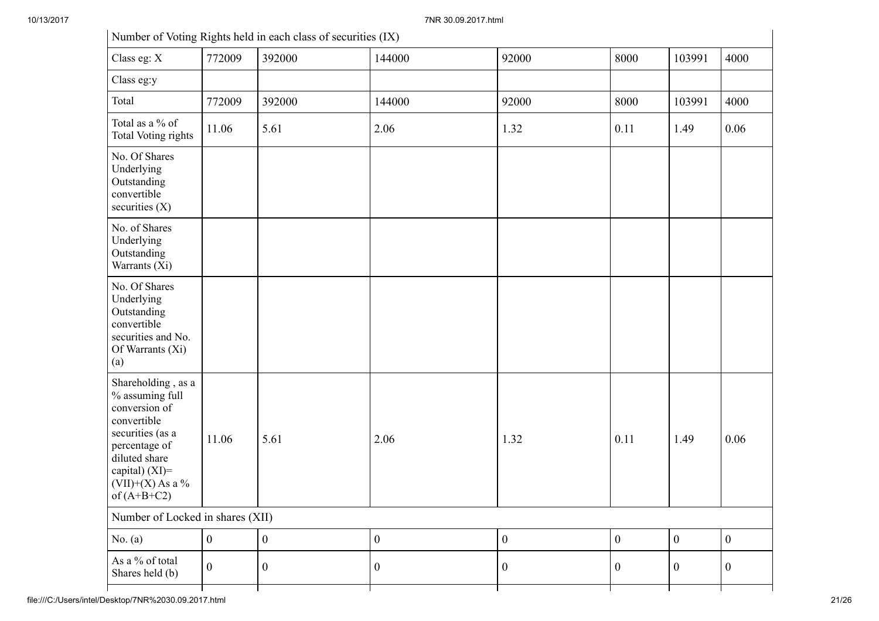10/13/2017 7NR 30.09.2017.html

| Number of Voting Rights held in each class of securities (IX)                                                                                                                           |              |                  |                |                  |                  |                  |                |
|-----------------------------------------------------------------------------------------------------------------------------------------------------------------------------------------|--------------|------------------|----------------|------------------|------------------|------------------|----------------|
| Class eg: X                                                                                                                                                                             | 772009       | 392000           | 144000         | 92000            | 8000             | 103991           | 4000           |
| Class eg:y                                                                                                                                                                              |              |                  |                |                  |                  |                  |                |
| Total                                                                                                                                                                                   | 772009       | 392000           | 144000         | 92000            | 8000             | 103991           | 4000           |
| Total as a % of<br><b>Total Voting rights</b>                                                                                                                                           | 11.06        | 5.61             | 2.06           | 1.32             | 0.11             | 1.49             | 0.06           |
| No. Of Shares<br>Underlying<br>Outstanding<br>convertible<br>securities $(X)$                                                                                                           |              |                  |                |                  |                  |                  |                |
| No. of Shares<br>Underlying<br>Outstanding<br>Warrants (Xi)                                                                                                                             |              |                  |                |                  |                  |                  |                |
| No. Of Shares<br>Underlying<br>Outstanding<br>convertible<br>securities and No.<br>Of Warrants (Xi)<br>(a)                                                                              |              |                  |                |                  |                  |                  |                |
| Shareholding, as a<br>% assuming full<br>conversion of<br>convertible<br>securities (as a<br>percentage of<br>diluted share<br>capital) $(XI)$ =<br>$(VII)+(X)$ As a %<br>of $(A+B+C2)$ | 11.06        | 5.61             | 2.06           | 1.32             | 0.11             | 1.49             | 0.06           |
| Number of Locked in shares (XII)                                                                                                                                                        |              |                  |                |                  |                  |                  |                |
| No. $(a)$                                                                                                                                                                               | $\mathbf{0}$ | $\boldsymbol{0}$ | $\mathbf{0}$   | $\boldsymbol{0}$ | $\boldsymbol{0}$ | $\boldsymbol{0}$ | $\overline{0}$ |
| As a % of total<br>Shares held (b)                                                                                                                                                      | $\mathbf{0}$ | $\mathbf{0}$     | $\overline{0}$ | $\boldsymbol{0}$ | $\overline{0}$   | $\overline{0}$   | $\overline{0}$ |
|                                                                                                                                                                                         |              |                  |                |                  |                  |                  |                |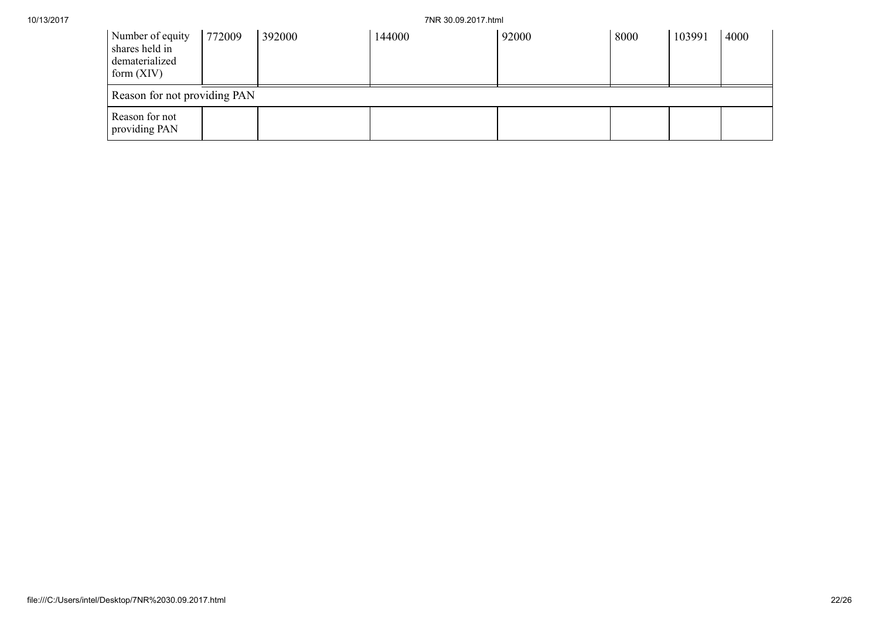10/13/2017 7NR 30.09.2017.html

| Number of equity<br>shares held in<br>dematerialized<br>form $(XIV)$ | 772009 | 392000 | 144000 | 92000 | 8000 | 103991 | 4000 |
|----------------------------------------------------------------------|--------|--------|--------|-------|------|--------|------|
| Reason for not providing PAN                                         |        |        |        |       |      |        |      |
| Reason for not<br>providing PAN                                      |        |        |        |       |      |        |      |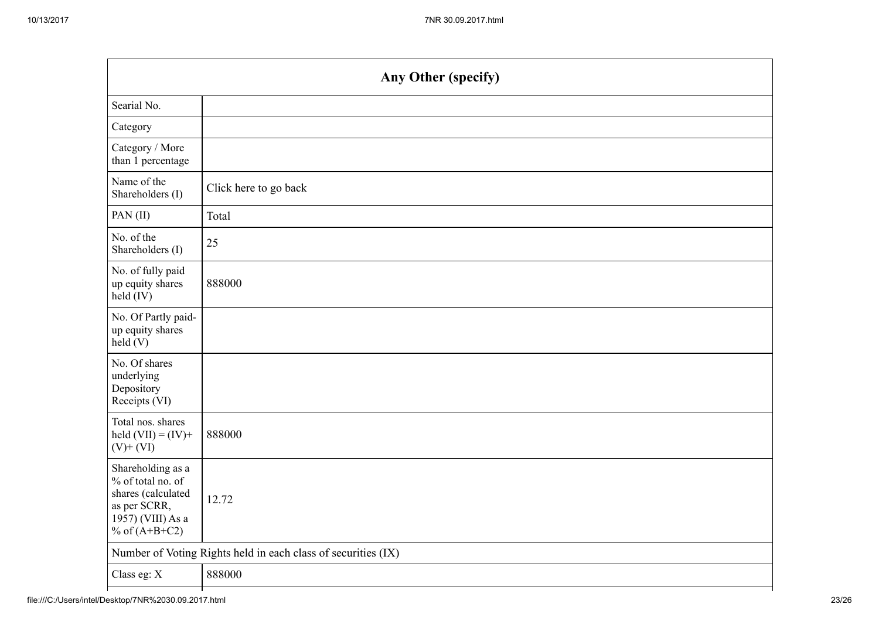| Any Other (specify)                                           |  |  |  |  |  |
|---------------------------------------------------------------|--|--|--|--|--|
|                                                               |  |  |  |  |  |
|                                                               |  |  |  |  |  |
|                                                               |  |  |  |  |  |
| Click here to go back                                         |  |  |  |  |  |
| Total                                                         |  |  |  |  |  |
| 25                                                            |  |  |  |  |  |
| 888000                                                        |  |  |  |  |  |
|                                                               |  |  |  |  |  |
|                                                               |  |  |  |  |  |
| 888000                                                        |  |  |  |  |  |
| 12.72                                                         |  |  |  |  |  |
| Number of Voting Rights held in each class of securities (IX) |  |  |  |  |  |
| 888000                                                        |  |  |  |  |  |
|                                                               |  |  |  |  |  |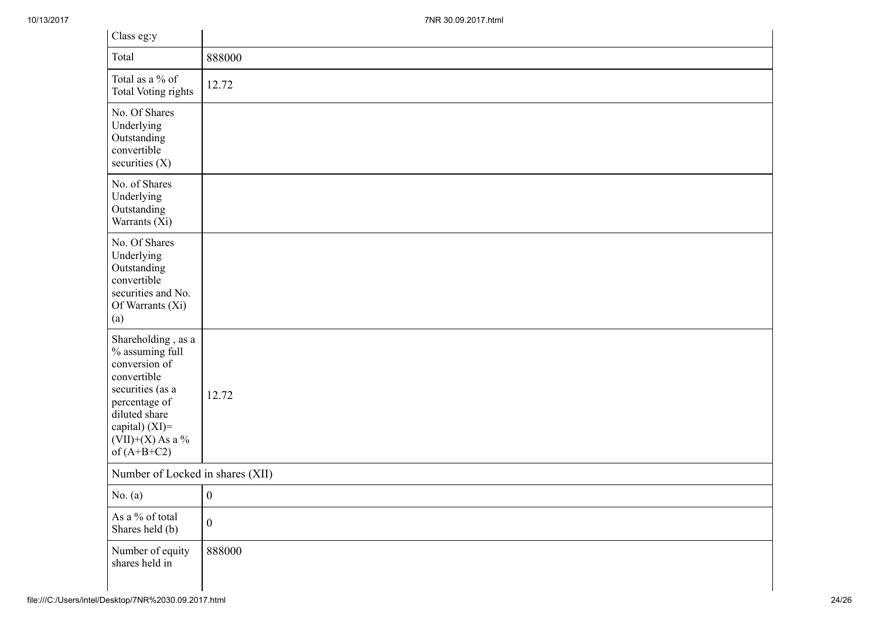| Class eg:y                                                                                                                                                                           |                  |
|--------------------------------------------------------------------------------------------------------------------------------------------------------------------------------------|------------------|
| Total                                                                                                                                                                                | 888000           |
| Total as a % of<br>Total Voting rights                                                                                                                                               | 12.72            |
| No. Of Shares<br>Underlying<br>Outstanding<br>convertible<br>securities $(X)$                                                                                                        |                  |
| No. of Shares<br>Underlying<br>Outstanding<br>Warrants (Xi)                                                                                                                          |                  |
| No. Of Shares<br>Underlying<br>Outstanding<br>convertible<br>securities and No.<br>Of Warrants (Xi)<br>(a)                                                                           |                  |
| Shareholding, as a<br>% assuming full<br>conversion of<br>convertible<br>securities (as a<br>percentage of<br>diluted share<br>capital) (XI)=<br>$(VII)+(X)$ As a %<br>of $(A+B+C2)$ | 12.72            |
| Number of Locked in shares (XII)                                                                                                                                                     |                  |
| No. $(a)$                                                                                                                                                                            | $\mathbf{0}$     |
| As a % of total<br>Shares held (b)                                                                                                                                                   | $\boldsymbol{0}$ |
| Number of equity<br>shares held in                                                                                                                                                   | 888000           |